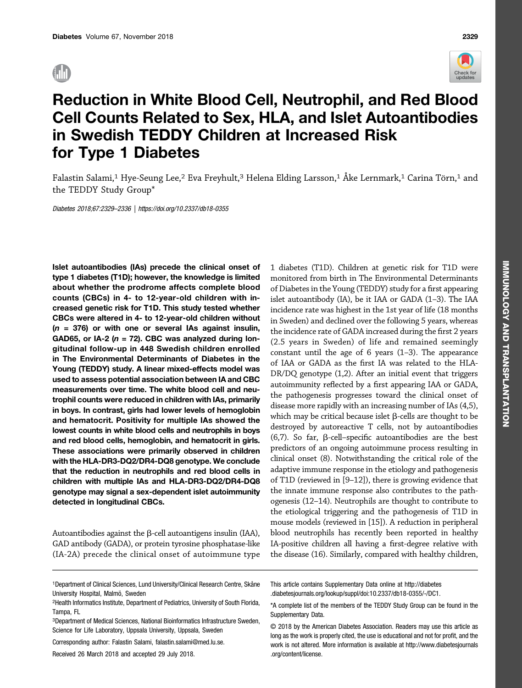

# Reduction in White Blood Cell, Neutrophil, and Red Blood Cell Counts Related to Sex, HLA, and Islet Autoantibodies in Swedish TEDDY Children at Increased Risk for Type 1 Diabetes

Falastin Salami,<sup>1</sup> Hye-Seung Lee,<sup>2</sup> Eva Freyhult,<sup>3</sup> Helena Elding Larsson,<sup>1</sup> Åke Lernmark,<sup>1</sup> Carina Törn,<sup>1</sup> and the TEDDY Study Group\*

Diabetes 2018;67:2329–2336 |<https://doi.org/10.2337/db18-0355>

Islet autoantibodies (IAs) precede the clinical onset of type 1 diabetes (T1D); however, the knowledge is limited about whether the prodrome affects complete blood counts (CBCs) in 4- to 12-year-old children with increased genetic risk for T1D. This study tested whether CBCs were altered in 4- to 12-year-old children without  $(n = 376)$  or with one or several IAs against insulin, GAD65, or IA-2 ( $n = 72$ ). CBC was analyzed during longitudinal follow-up in 448 Swedish children enrolled in The Environmental Determinants of Diabetes in the Young (TEDDY) study. A linear mixed-effects model was used to assess potential association between IA and CBC measurements over time. The white blood cell and neutrophil counts were reduced in children with IAs, primarily in boys. In contrast, girls had lower levels of hemoglobin and hematocrit. Positivity for multiple IAs showed the lowest counts in white blood cells and neutrophils in boys and red blood cells, hemoglobin, and hematocrit in girls. These associations were primarily observed in children with the HLA-DR3-DQ2/DR4-DQ8 genotype. We conclude that the reduction in neutrophils and red blood cells in children with multiple IAs and HLA-DR3-DQ2/DR4-DQ8 genotype may signal a sex-dependent islet autoimmunity detected in longitudinal CBCs.

Autoantibodies against the  $\beta$ -cell autoantigens insulin (IAA), GAD antibody (GADA), or protein tyrosine phosphatase-like (IA-2A) precede the clinical onset of autoimmune type

1 diabetes (T1D). Children at genetic risk for T1D were monitored from birth in The Environmental Determinants of Diabetes in the Young (TEDDY) study for a first appearing islet autoantibody (IA), be it IAA or GADA (1–3). The IAA incidence rate was highest in the 1st year of life (18 months in Sweden) and declined over the following 5 years, whereas the incidence rate of GADA increased during the first 2 years (2.5 years in Sweden) of life and remained seemingly constant until the age of 6 years (1–3). The appearance of IAA or GADA as the first IA was related to the HLA-DR/DQ genotype (1,2). After an initial event that triggers autoimmunity reflected by a first appearing IAA or GADA, the pathogenesis progresses toward the clinical onset of disease more rapidly with an increasing number of IAs (4,5), which may be critical because islet  $\beta$ -cells are thought to be destroyed by autoreactive T cells, not by autoantibodies  $(6,7)$ . So far,  $\beta$ -cell-specific autoantibodies are the best predictors of an ongoing autoimmune process resulting in clinical onset (8). Notwithstanding the critical role of the adaptive immune response in the etiology and pathogenesis of T1D (reviewed in [9–12]), there is growing evidence that the innate immune response also contributes to the pathogenesis (12–14). Neutrophils are thought to contribute to the etiological triggering and the pathogenesis of T1D in mouse models (reviewed in [15]). A reduction in peripheral blood neutrophils has recently been reported in healthy IA-positive children all having a first-degree relative with the disease (16). Similarly, compared with healthy children,

- 1Department of Clinical Sciences, Lund University/Clinical Research Centre, Skåne University Hospital, Malmö, Sweden
- 2Health Informatics Institute, Department of Pediatrics, University of South Florida, Tampa, FL
- 3Department of Medical Sciences, National Bioinformatics Infrastructure Sweden, Science for Life Laboratory, Uppsala University, Uppsala, Sweden

Corresponding author: Falastin Salami, [falastin.salami@med.lu.se.](mailto:falastin.salami@med.lu.se)

Received 26 March 2018 and accepted 29 July 2018.

This article contains Supplementary Data online at [http://diabetes](http://diabetes.diabetesjournals.org/lookup/suppl/doi:10.2337/db18-0355/-/DC1) [.diabetesjournals.org/lookup/suppl/doi:10.2337/db18-0355/-/DC1.](http://diabetes.diabetesjournals.org/lookup/suppl/doi:10.2337/db18-0355/-/DC1)

<sup>\*</sup>A complete list of the members of the TEDDY Study Group can be found in the [Supplementary Data.](http://diabetes.diabetesjournals.org/lookup/suppl/doi:10.2337/db18-0355/-/DC1)

<sup>© 2018</sup> by the American Diabetes Association. Readers may use this article as long as the work is properly cited, the use is educational and not for profit, and the work is not altered. More information is available at [http://www.diabetesjournals](http://www.diabetesjournals.org/content/license) [.org/content/license](http://www.diabetesjournals.org/content/license).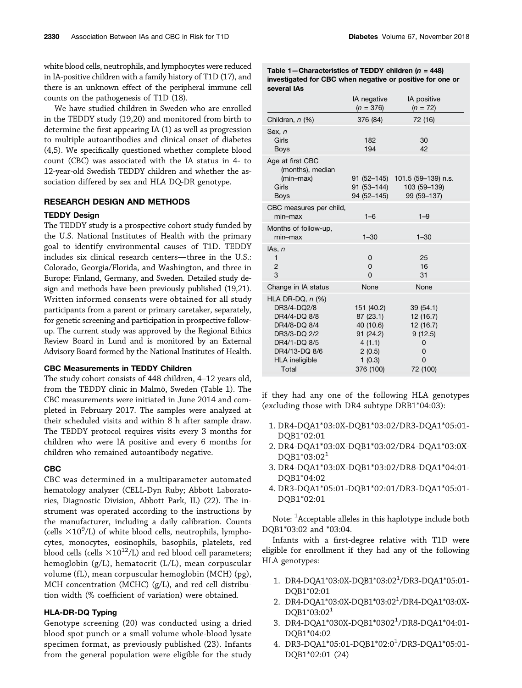white blood cells, neutrophils, and lymphocytes were reduced in IA-positive children with a family history of T1D (17), and there is an unknown effect of the peripheral immune cell counts on the pathogenesis of T1D (18).

We have studied children in Sweden who are enrolled in the TEDDY study (19,20) and monitored from birth to determine the first appearing IA (1) as well as progression to multiple autoantibodies and clinical onset of diabetes (4,5). We specifically questioned whether complete blood count (CBC) was associated with the IA status in 4- to 12-year-old Swedish TEDDY children and whether the association differed by sex and HLA DQ-DR genotype.

### RESEARCH DESIGN AND METHODS

## TEDDY Design

The TEDDY study is a prospective cohort study funded by the U.S. National Institutes of Health with the primary goal to identify environmental causes of T1D. TEDDY includes six clinical research centers—three in the U.S.: Colorado, Georgia/Florida, and Washington, and three in Europe: Finland, Germany, and Sweden. Detailed study design and methods have been previously published (19,21). Written informed consents were obtained for all study participants from a parent or primary caretaker, separately, for genetic screening and participation in prospective followup. The current study was approved by the Regional Ethics Review Board in Lund and is monitored by an External Advisory Board formed by the National Institutes of Health.

#### CBC Measurements in TEDDY Children

The study cohort consists of 448 children, 4–12 years old, from the TEDDY clinic in Malmö, Sweden (Table 1). The CBC measurements were initiated in June 2014 and completed in February 2017. The samples were analyzed at their scheduled visits and within 8 h after sample draw. The TEDDY protocol requires visits every 3 months for children who were IA positive and every 6 months for children who remained autoantibody negative.

#### CBC

CBC was determined in a multiparameter automated hematology analyzer (CELL-Dyn Ruby; Abbott Laboratories, Diagnostic Division, Abbott Park, IL) (22). The instrument was operated according to the instructions by the manufacturer, including a daily calibration. Counts (cells  $\times 10^9$ /L) of white blood cells, neutrophils, lymphocytes, monocytes, eosinophils, basophils, platelets, red blood cells (cells  $\times 10^{12}$ /L) and red blood cell parameters; hemoglobin (g/L), hematocrit (L/L), mean corpuscular volume (fL), mean corpuscular hemoglobin (MCH) (pg), MCH concentration (MCHC) (g/L), and red cell distribution width (% coefficient of variation) were obtained.

## HLA-DR-DQ Typing

Genotype screening (20) was conducted using a dried blood spot punch or a small volume whole-blood lysate specimen format, as previously published (23). Infants from the general population were eligible for the study Table 1-Characteristics of TEDDY children ( $n = 448$ ) investigated for CBC when negative or positive for one or several IAs

| IA negative<br>$(n = 376)$                                                                  | IA positive<br>$(n = 72)$                                                 |
|---------------------------------------------------------------------------------------------|---------------------------------------------------------------------------|
| 376 (84)                                                                                    | 72 (16)                                                                   |
| 182<br>194                                                                                  | 30<br>42                                                                  |
| 91 (53-144)<br>94 (52-145)                                                                  | 91 (52-145) 101.5 (59-139) n.s.<br>103 (59-139)<br>99 (59-137)            |
| $1 - 6$                                                                                     | $1 - 9$                                                                   |
| $1 - 30$                                                                                    | $1 - 30$                                                                  |
| 0<br>$\Omega$<br>$\Omega$                                                                   | 25<br>16<br>31                                                            |
| None                                                                                        | None                                                                      |
| 151 (40.2)<br>87(23.1)<br>40 (10.6)<br>91 (24.2)<br>4(1.1)<br>2(0.5)<br>1(0.3)<br>376 (100) | 39 (54.1)<br>12 (16.7)<br>12 (16.7)<br>9(12.5)<br>0<br>0<br>0<br>72 (100) |
|                                                                                             |                                                                           |

if they had any one of the following HLA genotypes (excluding those with DR4 subtype DRB1\*04:03):

- 1. DR4-DQA1\*03:0X-DQB1\*03:02/DR3-DQA1\*05:01- DQB1\*02:01
- 2. DR4-DQA1\*03:0X-DQB1\*03:02/DR4-DQA1\*03:0X-DQB1\*03:02<sup>1</sup>
- 3. DR4-DQA1\*03:0X-DQB1\*03:02/DR8-DQA1\*04:01- DQB1\*04:02
- 4. DR3-DQA1\*05:01-DQB1\*02:01/DR3-DQA1\*05:01- DQB1\*02:01

Note:  $^1$ Acceptable alleles in this haplotype include both DQB1\*03:02 and \*03:04.

Infants with a first-degree relative with T1D were eligible for enrollment if they had any of the following HLA genotypes:

- 1. DR4-DQA1\*03:0X-DQB1\*03:021 /DR3-DQA1\*05:01- DQB1\*02:01
- 2. DR4-DQA1\*03:0X-DQB1\*03:02<sup>1</sup>/DR4-DQA1\*03:0X-DQB1\*03:02<sup>1</sup>
- 3. DR4-DQA1\*030X-DQB1\*0302<sup>1</sup> /DR8-DQA1\*04:01- DQB1\*04:02
- 4. DR3-DQA1\*05:01-DQB1\*02:0<sup>1</sup>/DR3-DQA1\*05:01-DQB1\*02:01 (24)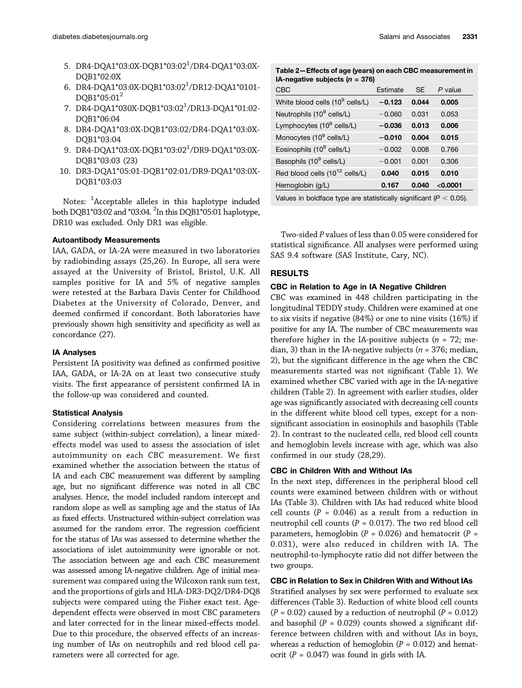- 5. DR4-DQA1\*03:0X-DQB1\*03:02<sup>1</sup>/DR4-DQA1\*03:0X-DQB1\*02:0X
- 6. DR4-DQA1\*03:0X-DQB1\*03:02<sup>1</sup>/DR12-DQA1\*0101-DQB1\*05:01<sup>2</sup>
- 7. DR4-DQA1\*030X-DQB1\*03:02<sup>1</sup>/DR13-DQA1\*01:02-DQB1\*06:04
- 8. DR4-DQA1\*03:0X-DQB1\*03:02/DR4-DQA1\*03:0X-DQB1\*03:04
- 9. DR4-DQA1\*03:0X-DQB1\*03:02<sup>1</sup>/DR9-DQA1\*03:0X-DQB1\*03:03 (23)
- 10. DR3-DQA1\*05:01-DQB1\*02:01/DR9-DQA1\*03:0X-DQB1\*03:03

Notes:  $^1$ Acceptable alleles in this haplotype included both DQB1\*03:02 and \*03:04. <sup>2</sup>In this DQB1\*05:01 haplotype, DR10 was excluded. Only DR1 was eligible.

#### Autoantibody Measurements

IAA, GADA, or IA-2A were measured in two laboratories by radiobinding assays (25,26). In Europe, all sera were assayed at the University of Bristol, Bristol, U.K. All samples positive for IA and 5% of negative samples were retested at the Barbara Davis Center for Childhood Diabetes at the University of Colorado, Denver, and deemed confirmed if concordant. Both laboratories have previously shown high sensitivity and specificity as well as concordance (27).

#### IA Analyses

Persistent IA positivity was defined as confirmed positive IAA, GADA, or IA-2A on at least two consecutive study visits. The first appearance of persistent confirmed IA in the follow-up was considered and counted.

#### Statistical Analysis

Considering correlations between measures from the same subject (within-subject correlation), a linear mixedeffects model was used to assess the association of islet autoimmunity on each CBC measurement. We first examined whether the association between the status of IA and each CBC measurement was different by sampling age, but no significant difference was noted in all CBC analyses. Hence, the model included random intercept and random slope as well as sampling age and the status of IAs as fixed effects. Unstructured within-subject correlation was assumed for the random error. The regression coefficient for the status of IAs was assessed to determine whether the associations of islet autoimmunity were ignorable or not. The association between age and each CBC measurement was assessed among IA-negative children. Age of initial measurement was compared using the Wilcoxon rank sum test, and the proportions of girls and HLA-DR3-DQ2/DR4-DQ8 subjects were compared using the Fisher exact test. Agedependent effects were observed in most CBC parameters and later corrected for in the linear mixed-effects model. Due to this procedure, the observed effects of an increasing number of IAs on neutrophils and red blood cell parameters were all corrected for age.

Table 2—Effects of age (years) on each CBC measurement in IA-negative subjects ( $n = 376$ )

| CBC                                                                   | Estimate | <b>SE</b> | $P$ value |  |  |
|-----------------------------------------------------------------------|----------|-----------|-----------|--|--|
| White blood cells (10 <sup>9</sup> cells/L)                           | $-0.123$ | 0.044     | 0.005     |  |  |
| Neutrophils (10 <sup>9</sup> cells/L)                                 | $-0.060$ | 0.031     | 0.053     |  |  |
| Lymphocytes (10 <sup>9</sup> cells/L)                                 | $-0.036$ | 0.013     | 0.006     |  |  |
| Monocytes (10 <sup>9</sup> cells/L)                                   | $-0.010$ | 0.004     | 0.015     |  |  |
| Eosinophils (10 <sup>9</sup> cells/L)                                 | $-0.002$ | 0.008     | 0.766     |  |  |
| Basophils (10 <sup>9</sup> cells/L)                                   | $-0.001$ | 0.001     | 0.306     |  |  |
| Red blood cells (10 <sup>12</sup> cells/L)                            | 0.040    | 0.015     | 0.010     |  |  |
| Hemoglobin (g/L)                                                      | 0.167    | 0.040     | < 0.0001  |  |  |
| Values in boldface type are statistically significant ( $P < 0.05$ ). |          |           |           |  |  |

Two-sided P values of less than 0.05 were considered for statistical significance. All analyses were performed using SAS 9.4 software (SAS Institute, Cary, NC).

## RESULTS

## CBC in Relation to Age in IA Negative Children

CBC was examined in 448 children participating in the longitudinal TEDDY study. Children were examined at one to six visits if negative (84%) or one to nine visits (16%) if positive for any IA. The number of CBC measurements was therefore higher in the IA-positive subjects ( $n = 72$ ; median, 3) than in the IA-negative subjects ( $n = 376$ ; median, 2), but the significant difference in the age when the CBC measurements started was not significant (Table 1). We examined whether CBC varied with age in the IA-negative children (Table 2). In agreement with earlier studies, older age was significantly associated with decreasing cell counts in the different white blood cell types, except for a nonsignificant association in eosinophils and basophils (Table 2). In contrast to the nucleated cells, red blood cell counts and hemoglobin levels increase with age, which was also confirmed in our study (28,29).

## CBC in Children With and Without IAs

In the next step, differences in the peripheral blood cell counts were examined between children with or without IAs (Table 3). Children with IAs had reduced white blood cell counts ( $P = 0.046$ ) as a result from a reduction in neutrophil cell counts ( $P = 0.017$ ). The two red blood cell parameters, hemoglobin ( $P = 0.026$ ) and hematocrit ( $P =$ 0.031), were also reduced in children with IA. The neutrophil-to-lymphocyte ratio did not differ between the two groups.

## CBC in Relation to Sex in Children With and Without IAs

Stratified analyses by sex were performed to evaluate sex differences (Table 3). Reduction of white blood cell counts  $(P = 0.02)$  caused by a reduction of neutrophil  $(P = 0.012)$ and basophil ( $P = 0.029$ ) counts showed a significant difference between children with and without IAs in boys, whereas a reduction of hemoglobin ( $P = 0.012$ ) and hematocrit ( $P = 0.047$ ) was found in girls with IA.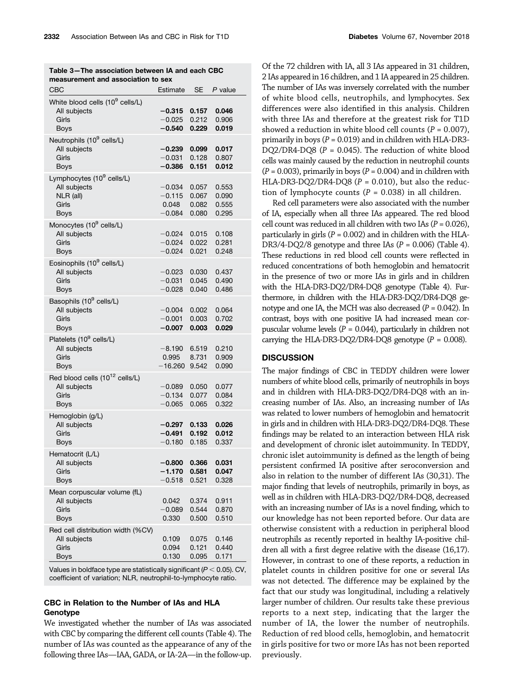| CBC                                         | Estimate             | SE             | P value        |  |
|---------------------------------------------|----------------------|----------------|----------------|--|
| White blood cells (10 <sup>9</sup> cells/L) |                      |                |                |  |
| All subjects                                | $-0.315$             | 0.157          | 0.046          |  |
| Girls                                       | $-0.025$             | 0.212          | 0.906          |  |
| Boys                                        | $-0.540$             | 0.229          | 0.019          |  |
|                                             |                      |                |                |  |
| Neutrophils (10 <sup>9</sup> cells/L)       |                      |                |                |  |
| All subjects                                | $-0.239$             | 0.099          | 0.017          |  |
| Girls                                       | $-0.031$             | 0.128          | 0.807          |  |
| <b>Boys</b>                                 | $-0.386$             | 0.151          | 0.012          |  |
| Lymphocytes (10 <sup>9</sup> cells/L)       |                      |                |                |  |
| All subjects                                | $-0.034$             | 0.057          | 0.553          |  |
| NLR (all)                                   | $-0.115$             | 0.067          | 0.090          |  |
| Girls                                       | 0.048                | 0.082          | 0.555          |  |
| <b>Boys</b>                                 | $-0.084$             | 0.080          | 0.295          |  |
| Monocytes (10 <sup>9</sup> cells/L)         |                      |                |                |  |
| All subjects                                | $-0.024$             | 0.015          | 0.108          |  |
| Girls                                       | $-0.024$             | 0.022          | 0.281          |  |
| Boys                                        | $-0.024$             | 0.021          | 0.248          |  |
| Eosinophils (10 <sup>9</sup> cells/L)       |                      |                |                |  |
| All subjects                                | $-0.023$             | 0.030          | 0.437          |  |
| Girls                                       | $-0.031$             | 0.045          | 0.490          |  |
| <b>Boys</b>                                 | $-0.028$             | 0.040          | 0.486          |  |
|                                             |                      |                |                |  |
| Basophils (10 <sup>9</sup> cells/L)         |                      |                |                |  |
| All subjects                                | $-0.004$             | 0.002          | 0.064          |  |
| Girls                                       | $-0.001$<br>$-0.007$ | 0.003<br>0.003 | 0.702<br>0.029 |  |
| <b>Boys</b>                                 |                      |                |                |  |
| Platelets (10 <sup>9</sup> cells/L)         |                      |                |                |  |
| All subjects                                | $-8.190$             | 6.519          | 0.210          |  |
| Girls                                       | 0.995                | 8.731          | 0.909          |  |
| Boys                                        | $-16.260$            | 9.542          | 0.090          |  |
| Red blood cells (10 <sup>12</sup> cells/L)  |                      |                |                |  |
| All subjects                                | $-0.089$             | 0.050          | 0.077          |  |
| Girls                                       | $-0.134$             | 0.077          | 0.084          |  |
| <b>Boys</b>                                 | $-0.065$             | 0.065          | 0.322          |  |
| Hemoglobin (g/L)                            |                      |                |                |  |
| All subjects                                | $-0.297$             | 0.133          | 0.026          |  |
| Girls                                       | $-0.491$             | 0.192          | 0.012          |  |
| Boys                                        | $-0.180$             | 0.185          | 0.337          |  |
| Hematocrit (L/L)                            |                      |                |                |  |
| All subjects                                | $-0.800$             | 0.366          | 0.031          |  |
| Girls                                       | $-1.170$             | 0.581          | 0.047          |  |
| Boys                                        | $-0.518$             | 0.521          | 0.328          |  |
| Mean corpuscular volume (fL)                |                      |                |                |  |
| All subjects                                | 0.042                | 0.374          | 0.911          |  |
| Girls                                       | $-0.089$             | 0.544          | 0.870          |  |
| Boys                                        | 0.330                | 0.500          | 0.510          |  |
|                                             |                      |                |                |  |
| Red cell distribution width (%CV)           |                      |                |                |  |
| All subjects                                | 0.109                | 0.075          | 0.146          |  |
| Girls                                       | 0.094                | 0.121          | 0.440          |  |
| <b>Boys</b>                                 | 0.130                | 0.095          | 0.171          |  |
|                                             |                      |                |                |  |

Table 3—The association between IA and each CBC measurement and association to sex

Values in boldface type are statistically significant ( $P < 0.05$ ). CV, coefficient of variation; NLR, neutrophil-to-lymphocyte ratio.

#### CBC in Relation to the Number of IAs and HLA Genotype

We investigated whether the number of IAs was associated with CBC by comparing the different cell counts (Table 4). The number of IAs was counted as the appearance of any of the following three IAs—IAA, GADA, or IA-2A—in the follow-up.

Of the 72 children with IA, all 3 IAs appeared in 31 children, 2 IAs appeared in 16 children, and 1 IA appeared in 25 children. The number of IAs was inversely correlated with the number of white blood cells, neutrophils, and lymphocytes. Sex differences were also identified in this analysis. Children with three IAs and therefore at the greatest risk for T1D showed a reduction in white blood cell counts ( $P = 0.007$ ), primarily in boys ( $P = 0.019$ ) and in children with HLA-DR3-DQ2/DR4-DQ8 ( $P = 0.045$ ). The reduction of white blood cells was mainly caused by the reduction in neutrophil counts  $(P = 0.003)$ , primarily in boys  $(P = 0.004)$  and in children with HLA-DR3-DQ2/DR4-DQ8 ( $P = 0.010$ ), but also the reduction of lymphocyte counts ( $P = 0.038$ ) in all children.

Red cell parameters were also associated with the number of IA, especially when all three IAs appeared. The red blood cell count was reduced in all children with two IAs ( $P = 0.026$ ), particularly in girls ( $P = 0.002$ ) and in children with the HLA-DR3/4-DQ2/8 genotype and three IAs  $(P = 0.006)$  (Table 4). These reductions in red blood cell counts were reflected in reduced concentrations of both hemoglobin and hematocrit in the presence of two or more IAs in girls and in children with the HLA-DR3-DQ2/DR4-DQ8 genotype (Table 4). Furthermore, in children with the HLA-DR3-DQ2/DR4-DQ8 genotype and one IA, the MCH was also decreased ( $P = 0.042$ ). In contrast, boys with one positive IA had increased mean corpuscular volume levels ( $P = 0.044$ ), particularly in children not carrying the HLA-DR3-DQ2/DR4-DQ8 genotype  $(P = 0.008)$ .

## **DISCUSSION**

The major findings of CBC in TEDDY children were lower numbers of white blood cells, primarily of neutrophils in boys and in children with HLA-DR3-DQ2/DR4-DQ8 with an increasing number of IAs. Also, an increasing number of IAs was related to lower numbers of hemoglobin and hematocrit in girls and in children with HLA-DR3-DQ2/DR4-DQ8. These findings may be related to an interaction between HLA risk and development of chronic islet autoimmunity. In TEDDY, chronic islet autoimmunity is defined as the length of being persistent confirmed IA positive after seroconversion and also in relation to the number of different IAs (30,31). The major finding that levels of neutrophils, primarily in boys, as well as in children with HLA-DR3-DQ2/DR4-DQ8, decreased with an increasing number of IAs is a novel finding, which to our knowledge has not been reported before. Our data are otherwise consistent with a reduction in peripheral blood neutrophils as recently reported in healthy IA-positive children all with a first degree relative with the disease (16,17). However, in contrast to one of these reports, a reduction in platelet counts in children positive for one or several IAs was not detected. The difference may be explained by the fact that our study was longitudinal, including a relatively larger number of children. Our results take these previous reports to a next step, indicating that the larger the number of IA, the lower the number of neutrophils. Reduction of red blood cells, hemoglobin, and hematocrit in girls positive for two or more IAs has not been reported previously.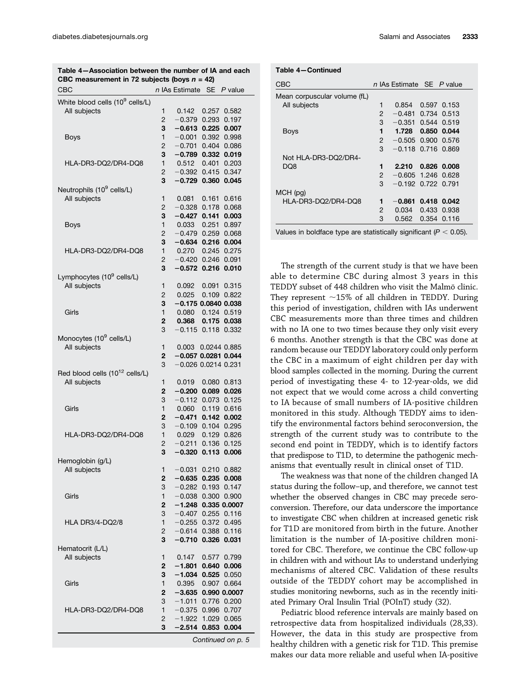| CBC                                         |                | n IAs Estimate SE P value  |
|---------------------------------------------|----------------|----------------------------|
| White blood cells (10 <sup>9</sup> cells/L) |                |                            |
| All subjects                                | 1              | 0.142<br>0.257<br>0.582    |
|                                             | 2              | $-0.379$<br>0.293<br>0.197 |
|                                             | 3              | 0.225 0.007<br>$-0.613$    |
| Boys                                        | 1              | $-0.001$<br>0.392<br>0.998 |
|                                             | 2              | $-0.701$<br>0.404 0.086    |
|                                             | 3              | 0.332 0.019<br>$-0.789$    |
| HLA-DR3-DQ2/DR4-DQ8                         | 1              | 0.512<br>0.401<br>0.203    |
|                                             | 2              | $-0.392$<br>0.415 0.347    |
|                                             | 3              | $-0.729$<br>0.360<br>0.045 |
| Neutrophils (10 <sup>9</sup> cells/L)       |                |                            |
| All subjects                                | 1              | 0.616<br>0.081<br>0.161    |
|                                             |                |                            |
|                                             | 2              | $-0.328$<br>0.178<br>0.068 |
|                                             | 3              | $-0.427$ 0.141<br>0.003    |
| <b>Boys</b>                                 | 1              | 0.251<br>0.033<br>0.897    |
|                                             | 2              | 0.259 0.068<br>$-0.479$    |
|                                             | 3              | $-0.634$<br>0.216 0.004    |
| HLA-DR3-DQ2/DR4-DQ8                         | 1              | 0.270<br>0.245 0.275       |
|                                             | 2              | $-0.420$ 0.246<br>0.091    |
|                                             | 3              | $-0.572$<br>0.216<br>0.010 |
| Lymphocytes (10 <sup>9</sup> cells/L)       |                |                            |
| All subjects                                | 1              |                            |
|                                             |                | 0.092<br>0.091<br>0.315    |
|                                             | 2              | 0.025<br>0.109 0.822       |
|                                             | 3              | $-0.175$ 0.0840 0.038      |
| Girls                                       | 1              | 0.124 0.519<br>0.080       |
|                                             | $\overline{2}$ | 0.368<br>0.175 0.038       |
|                                             | 3              | $-0.115$<br>0.118 0.332    |
| Monocytes (10 <sup>9</sup> cells/L)         |                |                            |
| All subjects                                | 1              | 0.0244 0.885<br>0.003      |
|                                             | $\overline{2}$ | $-0.057$ 0.0281 0.044      |
|                                             | 3              | $-0.026$ 0.0214 0.231      |
| Red blood cells (10 <sup>12</sup> cells/L)  |                |                            |
|                                             |                |                            |
| All subjects                                | 1              | 0.019<br>0.080<br>0.813    |
|                                             | $\mathbf{2}$   | $-0.200$<br>0.089 0.026    |
|                                             | 3              | $-0.112$<br>0.073 0.125    |
| Girls                                       | 1              | 0.060<br>0.119 0.616       |
|                                             | $\mathbf{2}$   | $-0.471$<br>0.142 0.002    |
|                                             | 3              | $-0.109$<br>0.104 0.295    |
| HLA-DR3-DQ2/DR4-DQ8                         | 1              | 0.029<br>0.129 0.826       |
|                                             | 2              | $-0.211$<br>0.136<br>0.125 |
|                                             | 3              | $-0.320$<br>0.113<br>0.006 |
|                                             |                |                            |
| Hemoglobin (g/L)                            |                |                            |
| All subjects                                | 1              | 0.210<br>$-0.031$<br>0.882 |
|                                             | 2              | 0.235<br>$-0.635$<br>0.008 |
|                                             | 3              | 0.193<br>0.147<br>$-0.282$ |
| Girls                                       | 1              | $-0.038$<br>0.300<br>0.900 |
|                                             | 2              | $-1.248$<br>0.335 0.0007   |
|                                             | 3              | $-0.407$<br>0.255<br>0.116 |
| HLA DR3/4-DQ2/8                             | 1              | $-0.255$<br>0.372<br>0.495 |
|                                             | 2              | 0.388<br>$-0.614$<br>0.116 |
|                                             |                |                            |
|                                             | 3              | 0.326<br>$-0.710$<br>0.031 |
| Hematocrit (L/L)                            |                |                            |
| All subjects                                | 1              | 0.147<br>0.577<br>0.799    |
|                                             | 2              | 0.640<br>$-1.801$<br>0.006 |
|                                             | 3              | $-1.034$<br>0.525<br>0.050 |
| Girls                                       | 1              | 0.395<br>0.907<br>0.664    |
|                                             | 2              | $-3.635$<br>0.990 0.0007   |
|                                             | 3              | $-1.011$<br>0.776<br>0.200 |
|                                             |                |                            |
| HLA-DR3-DQ2/DR4-DQ8                         | 1              | $-0.375$<br>0.996<br>0.707 |
|                                             | 2              | $-1.922$<br>1.029<br>0.065 |
|                                             | 3              | -2.514<br>0.853<br>0.004   |

Table 4—Association between the number of IA and each CBC measurement in 72 subjects (boys  $n = 42$ )

Continued on p. 5

Table 4—Continued

| CBC                          |               | n IAs Estimate SE P value |             |             |
|------------------------------|---------------|---------------------------|-------------|-------------|
| Mean corpuscular volume (fL) |               |                           |             |             |
| All subjects                 | 1             | 0.854                     |             | 0.597 0.153 |
|                              | 2             | $-0.481$                  |             | 0.734 0.513 |
|                              | 3             | $-0.351$                  |             | 0.544 0.519 |
| Boys                         | 1             | 1.728                     |             | 0.850 0.044 |
|                              | $\mathcal{P}$ | $-0.505$ 0.900 0.576      |             |             |
|                              | 3             | $-0.118$ 0.716 0.869      |             |             |
| Not HLA-DR3-DQ2/DR4-         |               |                           |             |             |
| DQ8                          | 1             | 2.210                     |             | 0.826 0.008 |
|                              | $\mathcal{P}$ | $-0.605$                  | 1.246 0.628 |             |
|                              | 3             | $-0.192$ 0.722 0.791      |             |             |
| MCH (pg)                     |               |                           |             |             |
| HLA-DR3-DQ2/DR4-DQ8          | 1             | $-0.861$                  |             | 0.418 0.042 |
|                              | 2             | 0.034                     |             | 0.433 0.938 |
|                              | 3             | 0.562                     |             | 0.354 0.116 |
|                              |               |                           |             |             |

Values in boldface type are statistically significant ( $P < 0.05$ ).

The strength of the current study is that we have been able to determine CBC during almost 3 years in this TEDDY subset of 448 children who visit the Malmö clinic. They represent  $\sim$ 15% of all children in TEDDY. During this period of investigation, children with IAs underwent CBC measurements more than three times and children with no IA one to two times because they only visit every 6 months. Another strength is that the CBC was done at random because our TEDDY laboratory could only perform the CBC in a maximum of eight children per day with blood samples collected in the morning. During the current period of investigating these 4- to 12-year-olds, we did not expect that we would come across a child converting to IA because of small numbers of IA-positive children monitored in this study. Although TEDDY aims to identify the environmental factors behind seroconversion, the strength of the current study was to contribute to the second end point in TEDDY, which is to identify factors that predispose to T1D, to determine the pathogenic mechanisms that eventually result in clinical onset of T1D.

The weakness was that none of the children changed IA status during the follow–up, and therefore, we cannot test whether the observed changes in CBC may precede seroconversion. Therefore, our data underscore the importance to investigate CBC when children at increased genetic risk for T1D are monitored from birth in the future. Another limitation is the number of IA-positive children monitored for CBC. Therefore, we continue the CBC follow-up in children with and without IAs to understand underlying mechanisms of altered CBC. Validation of these results outside of the TEDDY cohort may be accomplished in studies monitoring newborns, such as in the recently initiated Primary Oral Insulin Trial (POInT) study (32).

Pediatric blood reference intervals are mainly based on retrospective data from hospitalized individuals (28,33). However, the data in this study are prospective from healthy children with a genetic risk for T1D. This premise makes our data more reliable and useful when IA-positive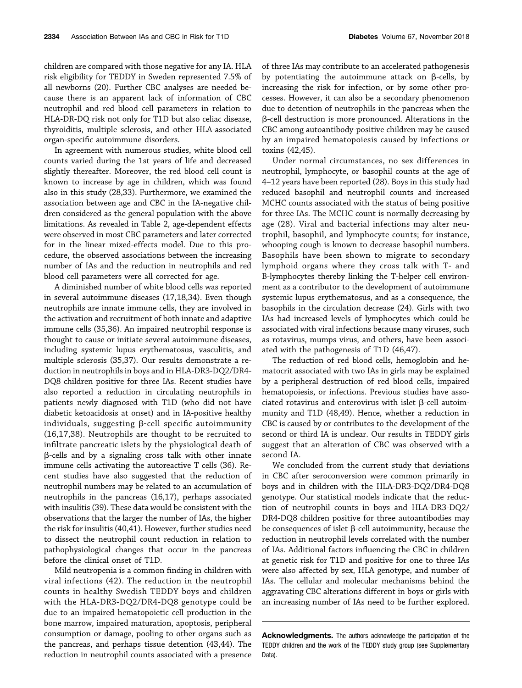children are compared with those negative for any IA. HLA risk eligibility for TEDDY in Sweden represented 7.5% of all newborns (20). Further CBC analyses are needed because there is an apparent lack of information of CBC neutrophil and red blood cell parameters in relation to HLA-DR-DQ risk not only for T1D but also celiac disease, thyroiditis, multiple sclerosis, and other HLA-associated organ-specific autoimmune disorders.

In agreement with numerous studies, white blood cell counts varied during the 1st years of life and decreased slightly thereafter. Moreover, the red blood cell count is known to increase by age in children, which was found also in this study (28,33). Furthermore, we examined the association between age and CBC in the IA-negative children considered as the general population with the above limitations. As revealed in Table 2, age-dependent effects were observed in most CBC parameters and later corrected for in the linear mixed-effects model. Due to this procedure, the observed associations between the increasing number of IAs and the reduction in neutrophils and red blood cell parameters were all corrected for age.

A diminished number of white blood cells was reported in several autoimmune diseases (17,18,34). Even though neutrophils are innate immune cells, they are involved in the activation and recruitment of both innate and adaptive immune cells (35,36). An impaired neutrophil response is thought to cause or initiate several autoimmune diseases, including systemic lupus erythematosus, vasculitis, and multiple sclerosis (35,37). Our results demonstrate a reduction in neutrophils in boys and in HLA-DR3-DQ2/DR4- DQ8 children positive for three IAs. Recent studies have also reported a reduction in circulating neutrophils in patients newly diagnosed with T1D (who did not have diabetic ketoacidosis at onset) and in IA-positive healthy individuals, suggesting  $\beta$ -cell specific autoimmunity (16,17,38). Neutrophils are thought to be recruited to infiltrate pancreatic islets by the physiological death of  $\beta$ -cells and by a signaling cross talk with other innate immune cells activating the autoreactive T cells (36). Recent studies have also suggested that the reduction of neutrophil numbers may be related to an accumulation of neutrophils in the pancreas (16,17), perhaps associated with insulitis (39). These data would be consistent with the observations that the larger the number of IAs, the higher the risk for insulitis (40,41). However, further studies need to dissect the neutrophil count reduction in relation to pathophysiological changes that occur in the pancreas before the clinical onset of T1D.

Mild neutropenia is a common finding in children with viral infections (42). The reduction in the neutrophil counts in healthy Swedish TEDDY boys and children with the HLA-DR3-DQ2/DR4-DQ8 genotype could be due to an impaired hematopoietic cell production in the bone marrow, impaired maturation, apoptosis, peripheral consumption or damage, pooling to other organs such as the pancreas, and perhaps tissue detention (43,44). The reduction in neutrophil counts associated with a presence of three IAs may contribute to an accelerated pathogenesis by potentiating the autoimmune attack on  $\beta$ -cells, by increasing the risk for infection, or by some other processes. However, it can also be a secondary phenomenon due to detention of neutrophils in the pancreas when the b-cell destruction is more pronounced. Alterations in the CBC among autoantibody-positive children may be caused by an impaired hematopoiesis caused by infections or toxins (42,45).

Under normal circumstances, no sex differences in neutrophil, lymphocyte, or basophil counts at the age of 4–12 years have been reported (28). Boys in this study had reduced basophil and neutrophil counts and increased MCHC counts associated with the status of being positive for three IAs. The MCHC count is normally decreasing by age (28). Viral and bacterial infections may alter neutrophil, basophil, and lymphocyte counts; for instance, whooping cough is known to decrease basophil numbers. Basophils have been shown to migrate to secondary lymphoid organs where they cross talk with T- and B-lymphocytes thereby linking the T-helper cell environment as a contributor to the development of autoimmune systemic lupus erythematosus, and as a consequence, the basophils in the circulation decrease (24). Girls with two IAs had increased levels of lymphocytes which could be associated with viral infections because many viruses, such as rotavirus, mumps virus, and others, have been associated with the pathogenesis of T1D (46,47).

The reduction of red blood cells, hemoglobin and hematocrit associated with two IAs in girls may be explained by a peripheral destruction of red blood cells, impaired hematopoiesis, or infections. Previous studies have associated rotavirus and enterovirus with islet  $\beta$ -cell autoimmunity and T1D (48,49). Hence, whether a reduction in CBC is caused by or contributes to the development of the second or third IA is unclear. Our results in TEDDY girls suggest that an alteration of CBC was observed with a second IA.

We concluded from the current study that deviations in CBC after seroconversion were common primarily in boys and in children with the HLA-DR3-DQ2/DR4-DQ8 genotype. Our statistical models indicate that the reduction of neutrophil counts in boys and HLA-DR3-DQ2/ DR4-DQ8 children positive for three autoantibodies may be consequences of islet  $\beta$ -cell autoimmunity, because the reduction in neutrophil levels correlated with the number of IAs. Additional factors influencing the CBC in children at genetic risk for T1D and positive for one to three IAs were also affected by sex, HLA genotype, and number of IAs. The cellular and molecular mechanisms behind the aggravating CBC alterations different in boys or girls with an increasing number of IAs need to be further explored.

Acknowledgments. The authors acknowledge the participation of the TEDDY children and the work of the TEDDY study group (see Supplementary Data).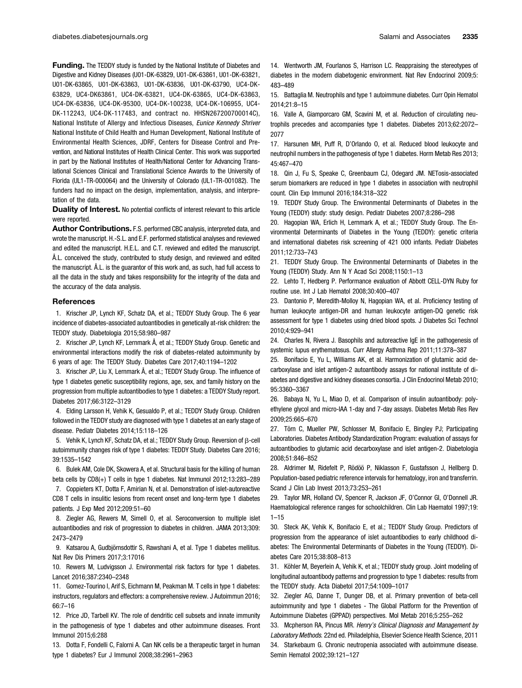Funding. The TEDDY study is funded by the National Institute of Diabetes and Digestive and Kidney Diseases (U01-DK-63829, U01-DK-63861, U01-DK-63821, U01-DK-63865, U01-DK-63863, U01-DK-63836, U01-DK-63790, UC4-DK-63829, UC4-DK63861, UC4-DK-63821, UC4-DK-63865, UC4-DK-63863, UC4-DK-63836, UC4-DK-95300, UC4-DK-100238, UC4-DK-106955, UC4- DK-112243, UC4-DK-117483, and contract no. HHSN267200700014C), National Institute of Allergy and Infectious Diseases, Eunice Kennedy Shriver National Institute of Child Health and Human Development, National Institute of Environmental Health Sciences, JDRF, Centers for Disease Control and Prevention, and National Institutes of Health Clinical Center. This work was supported in part by the National Institutes of Health/National Center for Advancing Translational Sciences Clinical and Translational Science Awards to the University of Florida (UL1-TR-000064) and the University of Colorado (UL1-TR-001082). The funders had no impact on the design, implementation, analysis, and interpretation of the data.

Duality of Interest. No potential conflicts of interest relevant to this article were reported.

Author Contributions. F.S. performed CBC analysis, interpreted data, and wrote the manuscript. H.-S.L. and E.F. performed statistical analyses and reviewed and edited the manuscript. H.E.L. and C.T. reviewed and edited the manuscript. Å.L. conceived the study, contributed to study design, and reviewed and edited the manuscript. Å.L. is the guarantor of this work and, as such, had full access to all the data in the study and takes responsibility for the integrity of the data and the accuracy of the data analysis.

#### References

1. Krischer JP, Lynch KF, Schatz DA, et al.; TEDDY Study Group. The 6 year incidence of diabetes-associated autoantibodies in genetically at-risk children: the TEDDY study. Diabetologia 2015;58:980–987

2. Krischer JP, Lynch KF, Lernmark Å, et al.; TEDDY Study Group. Genetic and environmental interactions modify the risk of diabetes-related autoimmunity by 6 years of age: The TEDDY Study. Diabetes Care 2017;40:1194–1202

3. Krischer JP, Liu X, Lernmark Å, et al.; TEDDY Study Group. The influence of type 1 diabetes genetic susceptibility regions, age, sex, and family history on the progression from multiple autoantibodies to type 1 diabetes: a TEDDY Study report. Diabetes 2017;66:3122–3129

4. Elding Larsson H, Vehik K, Gesualdo P, et al.; TEDDY Study Group. Children followed in the TEDDY study are diagnosed with type 1 diabetes at an early stage of disease. Pediatr Diabetes 2014;15:118–126

5. Vehik K, Lynch KF, Schatz DA, et al.; TEDDY Study Group. Reversion of  $\beta$ -cell autoimmunity changes risk of type 1 diabetes: TEDDY Study. Diabetes Care 2016; 39:1535–1542

6. Bulek AM, Cole DK, Skowera A, et al. Structural basis for the killing of human beta cells by CD8(+) T cells in type 1 diabetes. Nat Immunol 2012;13:283–289

7. Coppieters KT, Dotta F, Amirian N, et al. Demonstration of islet-autoreactive CD8 T cells in insulitic lesions from recent onset and long-term type 1 diabetes patients. J Exp Med 2012;209:51–60

8. Ziegler AG, Rewers M, Simell O, et al. Seroconversion to multiple islet autoantibodies and risk of progression to diabetes in children. JAMA 2013;309: 2473–2479

9. Katsarou A, Gudbjörnsdottir S, Rawshani A, et al. Type 1 diabetes mellitus. Nat Rev Dis Primers 2017;3:17016

10. Rewers M, Ludvigsson J. Environmental risk factors for type 1 diabetes. Lancet 2016;387:2340–2348

11. Gomez-Tourino I, Arif S, Eichmann M, Peakman M. T cells in type 1 diabetes: instructors, regulators and effectors: a comprehensive review. J Autoimmun 2016; 66:7–16

12. Price JD, Tarbell KV. The role of dendritic cell subsets and innate immunity in the pathogenesis of type 1 diabetes and other autoimmune diseases. Front Immunol 2015;6:288

13. Dotta F, Fondelli C, Falorni A. Can NK cells be a therapeutic target in human type 1 diabetes? Eur J Immunol 2008;38:2961–2963

14. Wentworth JM, Fourlanos S, Harrison LC. Reappraising the stereotypes of diabetes in the modern diabetogenic environment. Nat Rev Endocrinol 2009;5: 483–489

15. Battaglia M. Neutrophils and type 1 autoimmune diabetes. Curr Opin Hematol 2014;21:8–15

16. Valle A, Giamporcaro GM, Scavini M, et al. Reduction of circulating neutrophils precedes and accompanies type 1 diabetes. Diabetes 2013;62:2072– 2077

17. Harsunen MH, Puff R, D'Orlando O, et al. Reduced blood leukocyte and neutrophil numbers in the pathogenesis of type 1 diabetes. Horm Metab Res 2013; 45:467–470

18. Qin J, Fu S, Speake C, Greenbaum CJ, Odegard JM. NETosis-associated serum biomarkers are reduced in type 1 diabetes in association with neutrophil count. Clin Exp Immunol 2016;184:318–322

19. TEDDY Study Group. The Environmental Determinants of Diabetes in the Young (TEDDY) study: study design. Pediatr Diabetes 2007;8:286–298

20. Hagopian WA, Erlich H, Lernmark A, et al.; TEDDY Study Group. The Environmental Determinants of Diabetes in the Young (TEDDY): genetic criteria and international diabetes risk screening of 421 000 infants. Pediatr Diabetes 2011;12:733–743

21. TEDDY Study Group. The Environmental Determinants of Diabetes in the Young (TEDDY) Study. Ann N Y Acad Sci 2008;1150:1–13

22. Lehto T, Hedberg P. Performance evaluation of Abbott CELL-DYN Ruby for routine use. Int J Lab Hematol 2008;30:400–407

23. Dantonio P, Meredith-Molloy N, Hagopian WA, et al. Proficiency testing of human leukocyte antigen-DR and human leukocyte antigen-DQ genetic risk assessment for type 1 diabetes using dried blood spots. J Diabetes Sci Technol 2010;4:929–941

24. Charles N, Rivera J. Basophils and autoreactive IgE in the pathogenesis of systemic lupus erythematosus. Curr Allergy Asthma Rep 2011;11:378–387

25. Bonifacio E, Yu L, Williams AK, et al. Harmonization of glutamic acid decarboxylase and islet antigen-2 autoantibody assays for national institute of diabetes and digestive and kidney diseases consortia. J Clin Endocrinol Metab 2010; 95:3360–3367

26. Babaya N, Yu L, Miao D, et al. Comparison of insulin autoantibody: polyethylene glycol and micro-IAA 1-day and 7-day assays. Diabetes Metab Res Rev 2009;25:665–670

27. Törn C, Mueller PW, Schlosser M, Bonifacio E, Bingley PJ; Participating Laboratories. Diabetes Antibody Standardization Program: evaluation of assays for autoantibodies to glutamic acid decarboxylase and islet antigen-2. Diabetologia 2008;51:846–852

28. Aldrimer M, Ridefelt P, Rödöö P, Niklasson F, Gustafsson J, Hellberg D. Population-based pediatric reference intervals for hematology, iron and transferrin. Scand J Clin Lab Invest 2013;73:253–261

29. Taylor MR, Holland CV, Spencer R, Jackson JF, O'Connor GI, O'Donnell JR. Haematological reference ranges for schoolchildren. Clin Lab Haematol 1997;19:  $1 - 15$ 

30. Steck AK, Vehik K, Bonifacio E, et al.; TEDDY Study Group. Predictors of progression from the appearance of islet autoantibodies to early childhood diabetes: The Environmental Determinants of Diabetes in the Young (TEDDY). Diabetes Care 2015;38:808–813

31. Köhler M, Beyerlein A, Vehik K, et al.; TEDDY study group. Joint modeling of longitudinal autoantibody patterns and progression to type 1 diabetes: results from the TEDDY study. Acta Diabetol 2017;54:1009–1017

32. Ziegler AG, Danne T, Dunger DB, et al. Primary prevention of beta-cell autoimmunity and type 1 diabetes - The Global Platform for the Prevention of Autoimmune Diabetes (GPPAD) perspectives. Mol Metab 2016;5:255–262

33. Mcpherson RA, Pincus MR. Henry's Clinical Diagnosis and Management by Laboratory Methods. 22nd ed. Philadelphia, Elsevier Science Health Science, 2011 34. Starkebaum G. Chronic neutropenia associated with autoimmune disease. Semin Hematol 2002;39:121–127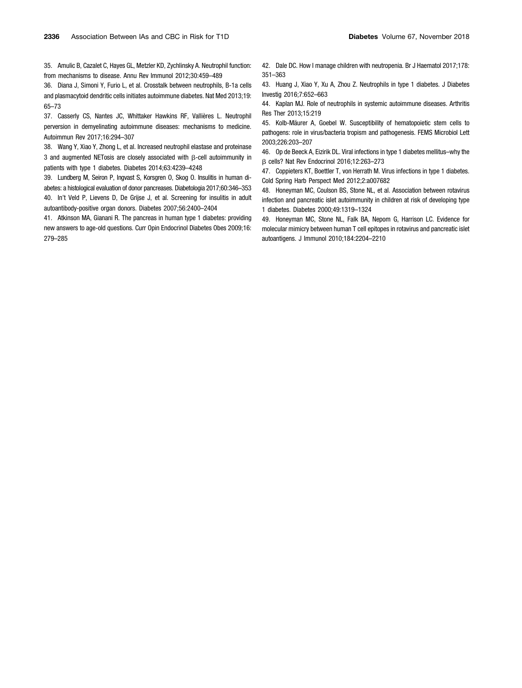35. Amulic B, Cazalet C, Hayes GL, Metzler KD, Zychlinsky A. Neutrophil function: from mechanisms to disease. Annu Rev Immunol 2012;30:459–489

36. Diana J, Simoni Y, Furio L, et al. Crosstalk between neutrophils, B-1a cells and plasmacytoid dendritic cells initiates autoimmune diabetes. Nat Med 2013;19: 65–73

37. Casserly CS, Nantes JC, Whittaker Hawkins RF, Vallières L. Neutrophil perversion in demyelinating autoimmune diseases: mechanisms to medicine. Autoimmun Rev 2017;16:294–307

38. Wang Y, Xiao Y, Zhong L, et al. Increased neutrophil elastase and proteinase 3 and augmented NETosis are closely associated with  $\beta$ -cell autoimmunity in patients with type 1 diabetes. Diabetes 2014;63:4239–4248

39. Lundberg M, Seiron P, Ingvast S, Korsgren O, Skog O. Insulitis in human diabetes: a histological evaluation of donor pancreases. Diabetologia 2017;60:346–353 40. In't Veld P, Lievens D, De Grijse J, et al. Screening for insulitis in adult autoantibody-positive organ donors. Diabetes 2007;56:2400–2404

41. Atkinson MA, Gianani R. The pancreas in human type 1 diabetes: providing new answers to age-old questions. Curr Opin Endocrinol Diabetes Obes 2009;16: 279–285

42. Dale DC. How I manage children with neutropenia. Br J Haematol 2017;178: 351–363

43. Huang J, Xiao Y, Xu A, Zhou Z. Neutrophils in type 1 diabetes. J Diabetes Investig 2016;7:652–663

44. Kaplan MJ. Role of neutrophils in systemic autoimmune diseases. Arthritis Res Ther 2013;15:219

45. Kolb-Mäurer A, Goebel W. Susceptibility of hematopoietic stem cells to pathogens: role in virus/bacteria tropism and pathogenesis. FEMS Microbiol Lett 2003;226:203–207

46. Op de Beeck A, Eizirik DL. Viral infections in type 1 diabetes mellitus–why the b cells? Nat Rev Endocrinol 2016;12:263–273

47. Coppieters KT, Boettler T, von Herrath M. Virus infections in type 1 diabetes. Cold Spring Harb Perspect Med 2012;2:a007682

48. Honeyman MC, Coulson BS, Stone NL, et al. Association between rotavirus infection and pancreatic islet autoimmunity in children at risk of developing type 1 diabetes. Diabetes 2000;49:1319–1324

49. Honeyman MC, Stone NL, Falk BA, Nepom G, Harrison LC. Evidence for molecular mimicry between human T cell epitopes in rotavirus and pancreatic islet autoantigens. J Immunol 2010;184:2204–2210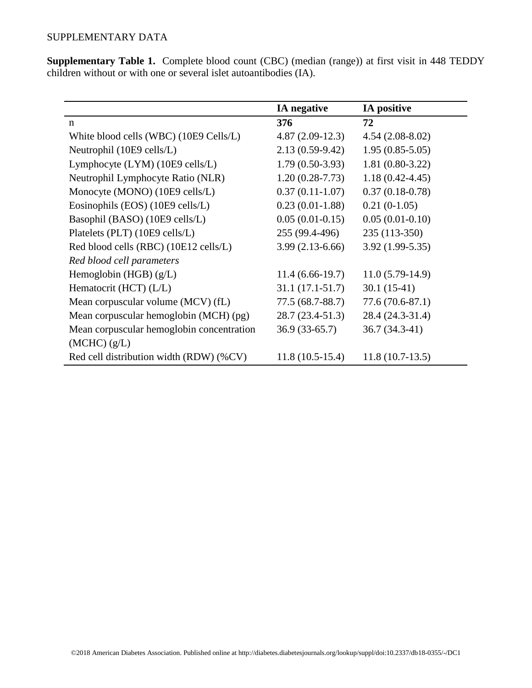**Supplementary Table 1.** Complete blood count (CBC) (median (range)) at first visit in 448 TEDDY children without or with one or several islet autoantibodies (IA).

|                                           | <b>IA</b> negative | IA positive         |
|-------------------------------------------|--------------------|---------------------|
| $\mathbf n$                               | 376                | 72                  |
| White blood cells (WBC) (10E9 Cells/L)    | $4.87(2.09-12.3)$  | $4.54(2.08-8.02)$   |
| Neutrophil (10E9 cells/L)                 | $2.13(0.59-9.42)$  | $1.95(0.85-5.05)$   |
| Lymphocyte (LYM) (10E9 cells/L)           | $1.79(0.50-3.93)$  | $1.81(0.80-3.22)$   |
| Neutrophil Lymphocyte Ratio (NLR)         | $1.20(0.28-7.73)$  | $1.18(0.42 - 4.45)$ |
| Monocyte (MONO) (10E9 cells/L)            | $0.37(0.11-1.07)$  | $0.37(0.18-0.78)$   |
| Eosinophils (EOS) (10E9 cells/L)          | $0.23(0.01-1.88)$  | $0.21(0-1.05)$      |
| Basophil (BASO) (10E9 cells/L)            | $0.05(0.01-0.15)$  | $0.05(0.01-0.10)$   |
| Platelets (PLT) (10E9 cells/L)            | 255 (99.4-496)     | 235 (113-350)       |
| Red blood cells (RBC) (10E12 cells/L)     | $3.99(2.13-6.66)$  | $3.92(1.99-5.35)$   |
| Red blood cell parameters                 |                    |                     |
| Hemoglobin (HGB) $(g/L)$                  | $11.4(6.66-19.7)$  | $11.0(5.79-14.9)$   |
| Hematocrit (HCT) $(L/L)$                  | $31.1(17.1-51.7)$  | $30.1(15-41)$       |
| Mean corpuscular volume (MCV) (fL)        | 77.5 (68.7-88.7)   | $77.6(70.6-87.1)$   |
| Mean corpuscular hemoglobin (MCH) (pg)    | $28.7(23.4-51.3)$  | 28.4 (24.3-31.4)    |
| Mean corpuscular hemoglobin concentration | $36.9(33-65.7)$    | 36.7 (34.3-41)      |
| (MCHC) (g/L)                              |                    |                     |
| Red cell distribution width (RDW) (%CV)   | $11.8(10.5-15.4)$  | $11.8(10.7-13.5)$   |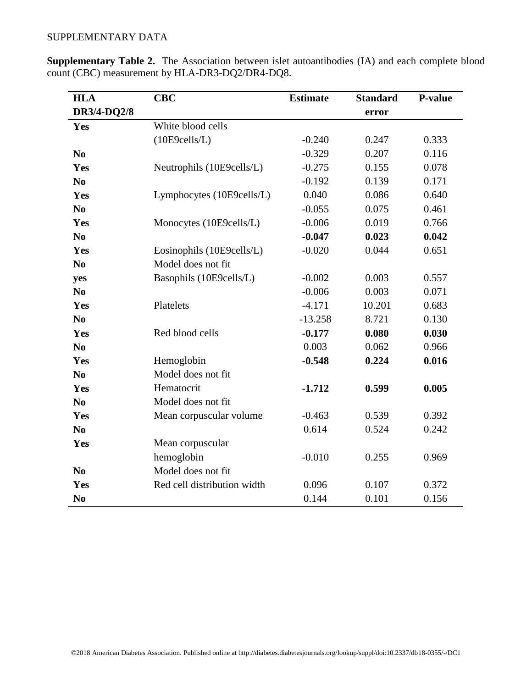| <b>HLA</b>     | <b>CBC</b>                  | <b>Estimate</b> | <b>Standard</b> | <b>P-value</b> |
|----------------|-----------------------------|-----------------|-----------------|----------------|
| DR3/4-DQ2/8    |                             |                 | error           |                |
| Yes            | White blood cells           |                 |                 |                |
|                | (10E9cells/L)               | $-0.240$        | 0.247           | 0.333          |
| N <sub>0</sub> |                             | $-0.329$        | 0.207           | 0.116          |
| Yes            | Neutrophils (10E9cells/L)   | $-0.275$        | 0.155           | 0.078          |
| N <sub>0</sub> |                             | $-0.192$        | 0.139           | 0.171          |
| Yes            | Lymphocytes (10E9cells/L)   | 0.040           | 0.086           | 0.640          |
| N <sub>0</sub> |                             | $-0.055$        | 0.075           | 0.461          |
| Yes            | Monocytes (10E9cells/L)     | $-0.006$        | 0.019           | 0.766          |
| N <sub>0</sub> |                             | $-0.047$        | 0.023           | 0.042          |
| Yes            | Eosinophils (10E9cells/L)   | $-0.020$        | 0.044           | 0.651          |
| N <sub>0</sub> | Model does not fit          |                 |                 |                |
| yes            | Basophils (10E9cells/L)     | $-0.002$        | 0.003           | 0.557          |
| N <sub>o</sub> |                             | $-0.006$        | 0.003           | 0.071          |
| Yes            | Platelets                   | $-4.171$        | 10.201          | 0.683          |
| N <sub>0</sub> |                             | $-13.258$       | 8.721           | 0.130          |
| Yes            | Red blood cells             | $-0.177$        | 0.080           | 0.030          |
| N <sub>0</sub> |                             | 0.003           | 0.062           | 0.966          |
| Yes            | Hemoglobin                  | $-0.548$        | 0.224           | 0.016          |
| N <sub>0</sub> | Model does not fit          |                 |                 |                |
| Yes            | Hematocrit                  | $-1.712$        | 0.599           | 0.005          |
| N <sub>0</sub> | Model does not fit          |                 |                 |                |
| Yes            | Mean corpuscular volume     | $-0.463$        | 0.539           | 0.392          |
| N <sub>0</sub> |                             | 0.614           | 0.524           | 0.242          |
| Yes            | Mean corpuscular            |                 |                 |                |
|                | hemoglobin                  | $-0.010$        | 0.255           | 0.969          |
| N <sub>0</sub> | Model does not fit          |                 |                 |                |
| Yes            | Red cell distribution width | 0.096           | 0.107           | 0.372          |
| N <sub>0</sub> |                             | 0.144           | 0.101           | 0.156          |

**Supplementary Table 2.** The Association between islet autoantibodies (IA) and each complete blood count (CBC) measurement by HLA-DR3-DQ2/DR4-DQ8.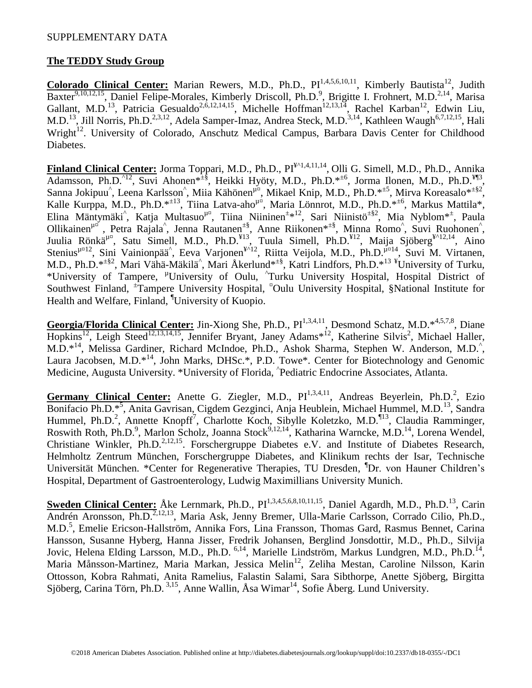# **The TEDDY Study Group**

Colorado Clinical Center: Marian Rewers, M.D., Ph.D., PI<sup>1,4,5,6,10,11</sup>, Kimberly Bautista<sup>12</sup>, Judith Baxter<sup>9,10,12,15</sup>, Daniel Felipe-Morales, Kimberly Driscoll, Ph.D.<sup>9</sup>, Brigitte I. Frohnert, M.D.<sup>2,14</sup>, Marisa Gallant, M.D.<sup>13</sup>, Patricia Gesualdo<sup>2,6,12,14,15</sup>, Michelle Hoffman<sup>12,13,14</sup>, Rachel Karban<sup>12</sup>, Edwin Liu, M.D.<sup>13</sup>, Jill Norris, Ph.D.<sup>2,3,12</sup>, Adela Samper-Imaz, Andrea Steck, M.D.<sup>3,14</sup>, Kathleen Waugh<sup>6,7,12,15</sup>, Hali Wright<sup>12</sup>. University of Colorado, Anschutz Medical Campus, Barbara Davis Center for Childhood Diabetes.

**Finland Clinical Center:** Jorma Toppari, M.D., Ph.D., PI¥^1,4,11,14 , Olli G. Simell, M.D., Ph.D., Annika Adamsson, Ph.D.<sup>^12</sup>, Suvi Ahonen\*<sup>±§</sup>, Heikki Hyöty, M.D., Ph.D.\*<sup>±6</sup>, Jorma Ilonen, M.D., Ph.D.<sup>¥¶3</sup>, Sanna Jokipuu<sup>^</sup>, Leena Karlsson<sup>^</sup>, Miia Kähönen<sup>µ¤</sup>, Mikael Knip, M.D., Ph.D.\*<sup>±5</sup>, Mirva Koreasalo\*<sup>±§2</sup>, Kalle Kurppa, M.D., Ph.D.\*<sup>±13</sup>, Tiina Latva-aho<sup>µ¤</sup>, Maria Lönnrot, M.D., Ph.D.\*<sup>±6</sup>, Markus Mattila\*, Elina Mäntymäki<sup>^</sup>, Katja Multasuo<sup>µ¤</sup>, Tiina Niininen<sup>±\*12</sup>, Sari Niinistö<sup>±§2</sup>, Mia Nyblom<sup>\*±</sup>, Paula Ollikainen<sup>µ¤</sup>, Petra Rajala<sup>^</sup>, Jenna Rautanen<sup> $\pm$ §</sup>, Anne Riikonen<sup>\* $\pm$ §</sup>, Minna Romo<sup>^</sup>, Suvi Ruohonen<sup>^</sup>, Juulia Rönkä<sup> $\mu$ n</sup>, Satu Simell, M.D., Ph.D.<sup>¥13</sup>, Tuula Simell, Ph.D.<sup>¥12</sup>, Maija Sjöberg<sup>¥^12,14</sup>, Aino Stenius<sup>µ¤12</sup>, Sini Vainionpää<sup>^</sup>, Eeva Varjonen<sup>¥^12</sup>, Riitta Veijola, M.D., Ph.D.<sup>µ¤14</sup>, Suvi M. Virtanen, M.D., Ph.D.\*<sup> $\pm$ §2</sup>, Mari Vähä-Mäkilä<sup>^</sup>, Mari Åkerlund<sup>\* $\pm$ §</sup>, Katri Lindfors, Ph.D.<sup>\*13</sup> <sup>¥</sup>University of Turku, \*University of Tampere, <sup>µ</sup>University of Oulu, <sup>^</sup>Turku University Hospital, Hospital District of Southwest Finland, <sup>±</sup>Tampere University Hospital, <sup>¤</sup>Oulu University Hospital, §National Institute for Health and Welfare, Finland, ¶University of Kuopio.

Georgia/Florida Clinical Center: Jin-Xiong She, Ph.D., PI<sup>1,3,4,11</sup>, Desmond Schatz, M.D.\*<sup>4,5,7,8</sup>, Diane Hopkins<sup>12</sup>, Leigh Steed<sup>12,13,14,15</sup>, Jennifer Bryant, Janey Adams<sup>\*12</sup>, Katherine Silvis<sup>2</sup>, Michael Haller, M.D.<sup>\*14</sup>, Melissa Gardiner, Richard McIndoe, Ph.D., Ashok Sharma, Stephen W. Anderson, M.D.<sup>^</sup>, Laura Jacobsen, M.D.<sup>\*14</sup>, John Marks, DHSc.\*, P.D. Towe\*. Center for Biotechnology and Genomic Medicine, Augusta University. \*University of Florida, ^ Pediatric Endocrine Associates, Atlanta.

Germany Clinical Center: Anette G. Ziegler, M.D., PI<sup>1,3,4,11</sup>, Andreas Beyerlein, Ph.D.<sup>2</sup>, Ezio Bonifacio Ph.D.<sup>\*5</sup>, Anita Gavrisan, Cigdem Gezginci, Anja Heublein, Michael Hummel, M.D.<sup>13</sup>, Sandra Hummel, Ph.D.<sup>2</sup>, Annette Knopff<sup>7</sup>, Charlotte Koch, Sibylle Koletzko, M.D.<sup>¶13</sup>, Claudia Ramminger, Roswith Roth, Ph.D.<sup>9</sup>, Marlon Scholz, Joanna Stock<sup>9,12,14</sup>, Katharina Warncke, M.D.<sup>14</sup>, Lorena Wendel, Christiane Winkler, Ph.D.<sup>2,12,15</sup>. Forschergruppe Diabetes e.V. and Institute of Diabetes Research, Helmholtz Zentrum München, Forschergruppe Diabetes, and Klinikum rechts der Isar, Technische Universität München. \*Center for Regenerative Therapies, TU Dresden, <sup>¶</sup>Dr. von Hauner Children's Hospital, Department of Gastroenterology, Ludwig Maximillians University Munich.

**Sweden Clinical Center:** Åke Lernmark, Ph.D., PI<sup>1,3,4,5,6,8,10,11,15</sup>, Daniel Agardh, M.D., Ph.D.<sup>13</sup>, Carin Andrén Aronsson, Ph.D.<sup>2,12,13</sup>, Maria Ask, Jenny Bremer, Ulla-Marie Carlsson, Corrado Cilio, Ph.D., M.D.<sup>5</sup> , Emelie Ericson-Hallström, Annika Fors, Lina Fransson, Thomas Gard, Rasmus Bennet, Carina Hansson, Susanne Hyberg, Hanna Jisser, Fredrik Johansen, Berglind Jonsdottir, M.D., Ph.D., Silvija Jovic, Helena Elding Larsson, M.D., Ph.D. <sup>6,14</sup>, Marielle Lindström, Markus Lundgren, M.D., Ph.D.<sup>14</sup>, Maria Månsson-Martinez, Maria Markan, Jessica Melin<sup>12</sup>, Zeliha Mestan, Caroline Nilsson, Karin Ottosson, Kobra Rahmati, Anita Ramelius, Falastin Salami, Sara Sibthorpe, Anette Sjöberg, Birgitta Sjöberg, Carina Törn, Ph.D.  $^{3,15}$ , Anne Wallin, Åsa Wimar<sup>14</sup>, Sofie Åberg. Lund University.